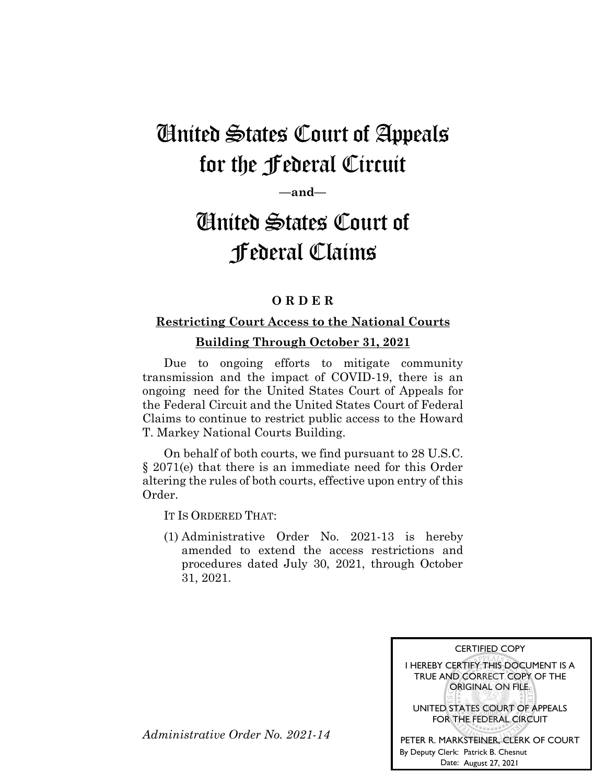# United States Court of Appeals for the Federal Circuit

**—and—**

# United States Court of Federal Claims

### **O R D E R**

### **Restricting Court Access to the National Courts**

#### **Building Through October 31, 2021**

Due to ongoing efforts to mitigate community transmission and the impact of COVID-19, there is an ongoing need for the United States Court of Appeals for the Federal Circuit and the United States Court of Federal Claims to continue to restrict public access to the Howard T. Markey National Courts Building.

On behalf of both courts, we find pursuant to 28 U.S.C. § 2071(e) that there is an immediate need for this Order altering the rules of both courts, effective upon entry of this Order.

IT IS ORDERED THAT:

(1) Administrative Order No. 2021-13 is hereby amended to extend the access restrictions and procedures dated July 30, 2021, through October 31, 2021.

| <b>CERTIFIED COPY</b>                                                                                             |
|-------------------------------------------------------------------------------------------------------------------|
| <b><i>NPPEALS</i></b><br>I HEREBY CERTIFY THIS DOCUMENT IS A<br>TRUE AND CORRECT COPY OF THE<br>ORIGINAL ON FILE. |
| UNITED STATES COURT OF APPEALS<br>FOR THE FEDERAL CIRCUIT                                                         |
| PETER R. MARKSTEINER, CLERK OF COURT                                                                              |
| By Deputy Clerk: Patrick B. Chesnut<br>Date: August 27, 2021                                                      |
|                                                                                                                   |

*Administrative Order No. 2021-14*